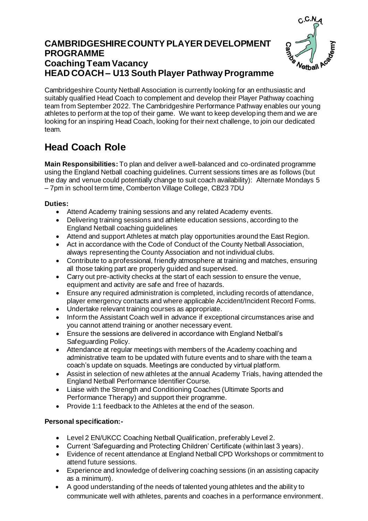## **CAMBRIDGESHIRE COUNTY PLAYER DEVELOPMENT PROGRAMME Coaching Team Vacancy HEAD COACH – U13 South Player Pathway Programme**



Cambridgeshire County Netball Association is currently looking for an enthusiastic and suitably qualified Head Coach to complement and develop their Player Pathway coaching team from September 2022. The Cambridgeshire Performance Pathway enables our young athletes to perform at the top of their game. We want to keep developing them and we are looking for an inspiring Head Coach, looking for their next challenge, to join our dedicated team.

## **Head Coach Role**

**Main Responsibilities:** To plan and deliver a well-balanced and co-ordinated programme using the England Netball coaching guidelines. Current sessions times are as follows (but the day and venue could potentially change to suit coach availability): Alternate Mondays 5 – 7pm in school term time, Comberton Village College, CB23 7DU

## **Duties:**

- Attend Academy training sessions and any related Academy events.
- Delivering training sessions and athlete education sessions, according to the England Netball coaching guidelines
- Attend and support Athletes at match play opportunities around the East Region.
- Act in accordance with the Code of Conduct of the County Netball Association, always representing the County Association and not individual clubs.
- Contribute to a professional, friendly atmosphere at training and matches, ensuring all those taking part are properly guided and supervised.
- Carry out pre-activity checks at the start of each session to ensure the venue, equipment and activity are safe and free of hazards.
- Ensure any required administration is completed, including records of attendance, player emergency contacts and where applicable Accident/Incident Record Forms.
- Undertake relevant training courses as appropriate.
- Inform the Assistant Coach well in advance if exceptional circumstances arise and you cannot attend training or another necessary event.
- Ensure the sessions are delivered in accordance with England Netball's Safeguarding Policy.
- Attendance at regular meetings with members of the Academy coaching and administrative team to be updated with future events and to share with the team a coach's update on squads. Meetings are conducted by virtual platform.
- Assist in selection of new athletes at the annual Academy Trials, having attended the England Netball Performance Identifier Course.
- Liaise with the Strength and Conditioning Coaches (Ultimate Sports and Performance Therapy) and support their programme.
- Provide 1:1 feedback to the Athletes at the end of the season.

## **Personal specification:-**

- Level 2 EN/UKCC Coaching Netball Qualification, preferably Level 2.
- Current 'Safeguarding and Protecting Children' Certificate (within last 3 years).
- Evidence of recent attendance at England Netball CPD Workshops or commitment to attend future sessions.
- Experience and knowledge of delivering coaching sessions (in an assisting capacity as a minimum).
- A good understanding of the needs of talented young athletes and the ability to communicate well with athletes, parents and coaches in a performance environment.